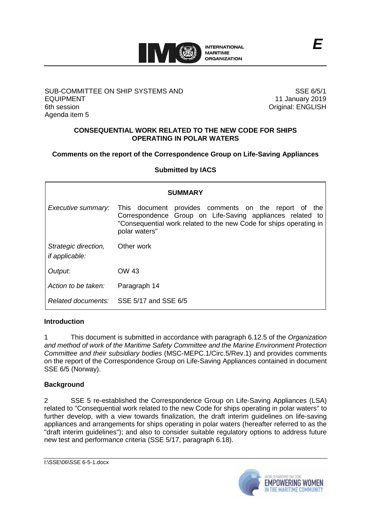

## SUB-COMMITTEE ON SHIP SYSTEMS AND EQUIPMENT 6th session Agenda item 5

SSE 6/5/1 11 January 2019 Original: ENGLISH

## **CONSEQUENTIAL WORK RELATED TO THE NEW CODE FOR SHIPS OPERATING IN POLAR WATERS**

## **Comments on the report of the Correspondence Group on Life-Saving Appliances**

## **Submitted by IACS**

| <b>SUMMARY</b>                                |                                                                                                                                                                                                             |
|-----------------------------------------------|-------------------------------------------------------------------------------------------------------------------------------------------------------------------------------------------------------------|
| Executive summary:                            | This document provides comments on the report of<br>the<br>Correspondence Group on Life-Saving appliances related to<br>"Consequential work related to the new Code for ships operating in<br>polar waters" |
| Strategic direction,<br><i>if applicable:</i> | Other work                                                                                                                                                                                                  |
| Output:                                       | OW 43                                                                                                                                                                                                       |
| Action to be taken:                           | Paragraph 14                                                                                                                                                                                                |
|                                               | Related documents: SSE 5/17 and SSE 6/5                                                                                                                                                                     |

## **Introduction**

1 This document is submitted in accordance with paragraph 6.12.5 of the *Organization and method of work of the Maritime Safety Committee and the Marine Environment Protection Committee and their subsidiary bodies* (MSC-MEPC.1/Circ.5/Rev.1) and provides comments on the report of the Correspondence Group on Life-Saving Appliances contained in document SSE 6/5 (Norway).

## **Background**

2 SSE 5 re-established the Correspondence Group on Life-Saving Appliances (LSA) related to "Consequential work related to the new Code for ships operating in polar waters" to further develop, with a view towards finalization, the draft interim guidelines on life-saving appliances and arrangements for ships operating in polar waters (hereafter referred to as the "draft interim guidelines"); and also to consider suitable regulatory options to address future new test and performance criteria (SSE 5/17, paragraph 6.18).

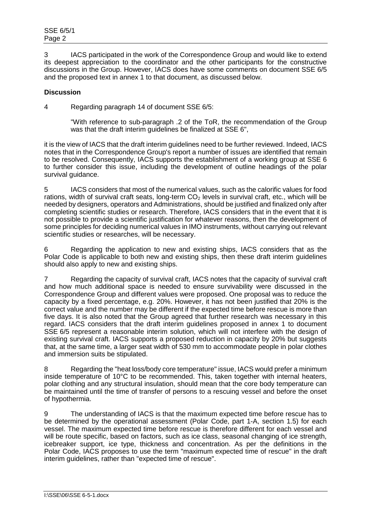3 IACS participated in the work of the Correspondence Group and would like to extend its deepest appreciation to the coordinator and the other participants for the constructive discussions in the Group. However, IACS does have some comments on document SSE 6/5 and the proposed text in annex 1 to that document, as discussed below.

# **Discussion**

4 Regarding paragraph 14 of document SSE 6/5:

"With reference to sub-paragraph .2 of the ToR, the recommendation of the Group was that the draft interim guidelines be finalized at SSE 6",

it is the view of IACS that the draft interim guidelines need to be further reviewed. Indeed, IACS notes that in the Correspondence Group's report a number of issues are identified that remain to be resolved. Consequently, IACS supports the establishment of a working group at SSE 6 to further consider this issue, including the development of outline headings of the polar survival quidance.

5 IACS considers that most of the numerical values, such as the calorific values for food rations, width of survival craft seats, long-term  $CO<sub>2</sub>$  levels in survival craft, etc., which will be needed by designers, operators and Administrations, should be justified and finalized only after completing scientific studies or research. Therefore, IACS considers that in the event that it is not possible to provide a scientific justification for whatever reasons, then the development of some principles for deciding numerical values in IMO instruments, without carrying out relevant scientific studies or researches, will be necessary.

6 Regarding the application to new and existing ships, IACS considers that as the Polar Code is applicable to both new and existing ships, then these draft interim guidelines should also apply to new and existing ships.

7 Regarding the capacity of survival craft, IACS notes that the capacity of survival craft and how much additional space is needed to ensure survivability were discussed in the Correspondence Group and different values were proposed. One proposal was to reduce the capacity by a fixed percentage, e.g. 20%. However, it has not been justified that 20% is the correct value and the number may be different if the expected time before rescue is more than five days. It is also noted that the Group agreed that further research was necessary in this regard. IACS considers that the draft interim guidelines proposed in annex 1 to document SSE 6/5 represent a reasonable interim solution, which will not interfere with the design of existing survival craft. IACS supports a proposed reduction in capacity by 20% but suggests that, at the same time, a larger seat width of 530 mm to accommodate people in polar clothes and immersion suits be stipulated.

8 Regarding the "heat loss/body core temperature" issue, IACS would prefer a minimum inside temperature of 10°C to be recommended. This, taken together with internal heaters, polar clothing and any structural insulation, should mean that the core body temperature can be maintained until the time of transfer of persons to a rescuing vessel and before the onset of hypothermia.

9 The understanding of IACS is that the maximum expected time before rescue has to be determined by the operational assessment (Polar Code, part 1-A, section 1.5) for each vessel. The maximum expected time before rescue is therefore different for each vessel and will be route specific, based on factors, such as ice class, seasonal changing of ice strength, icebreaker support, ice type, thickness and concentration. As per the definitions in the Polar Code, IACS proposes to use the term "maximum expected time of rescue" in the draft interim guidelines, rather than "expected time of rescue".